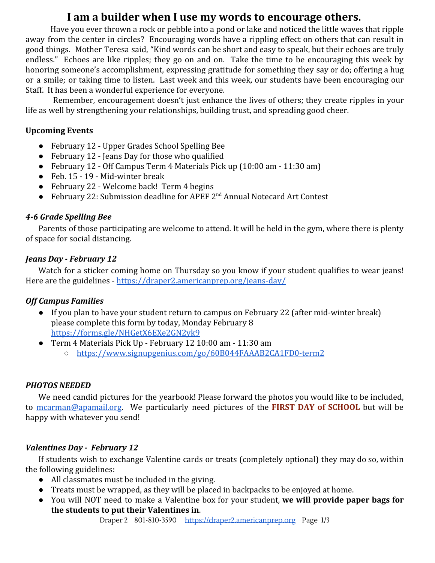# **I am a builder when I use my words to encourage others.**

Have you ever thrown a rock or pebble into a pond or lake and noticed the little waves that ripple away from the center in circles? Encouraging words have a rippling effect on others that can result in good things. Mother Teresa said, "Kind words can be short and easy to speak, but their echoes are truly endless." Echoes are like ripples; they go on and on. Take the time to be encouraging this week by honoring someone's accomplishment, expressing gratitude for something they say or do; offering a hug or a smile; or taking time to listen. Last week and this week, our students have been encouraging our Staff. It has been a wonderful experience for everyone.

Remember, encouragement doesn't just enhance the lives of others; they create ripples in your life as well by strengthening your relationships, building trust, and spreading good cheer.

# **Upcoming Events**

- February 12 Upper Grades School Spelling Bee
- February 12 Jeans Day for those who qualified
- February 12 Off Campus Term 4 Materials Pick up (10:00 am 11:30 am)
- Feb. 15 19 Mid-winter break
- February 22 Welcome back! Term 4 begins
- February 22: Submission deadline for APEF 2<sup>nd</sup> Annual Notecard Art Contest

# *4-6 Grade Spelling Bee*

Parents of those participating are welcome to attend. It will be held in the gym, where there is plenty of space for social distancing.

# *Jeans Day - February 12*

Watch for a sticker coming home on Thursday so you know if your student qualifies to wear jeans! Here are the guidelines - <https://draper2.americanprep.org/jeans-day/>

# *Off Campus Families*

- If you plan to have your student return to campus on February 22 (after mid-winter break) please complete this form by today, Monday February 8 <https://forms.gle/NHGetX6EXe2GN2yk9>
- Term 4 Materials Pick Up February 12 10:00 am 11:30 am
	- <https://www.signupgenius.com/go/60B044FAAAB2CA1FD0-term2>

### *PHOTOS NEEDED*

We need candid pictures for the yearbook! Please forward the photos you would like to be included, to [mcarman@apamail.org](mailto:mcarman@apamail.org). We particularly need pictures of the **FIRST DAY of SCHOOL** but will be happy with whatever you send!

# *Valentines Day - February 12*

If students wish to exchange Valentine cards or treats (completely optional) they may do so, within the following guidelines:

- All classmates must be included in the giving.
- Treats must be wrapped, as they will be placed in backpacks to be enjoyed at home.
- You will NOT need to make a Valentine box for your student, **we will provide paper bags for the students to put their Valentines in**.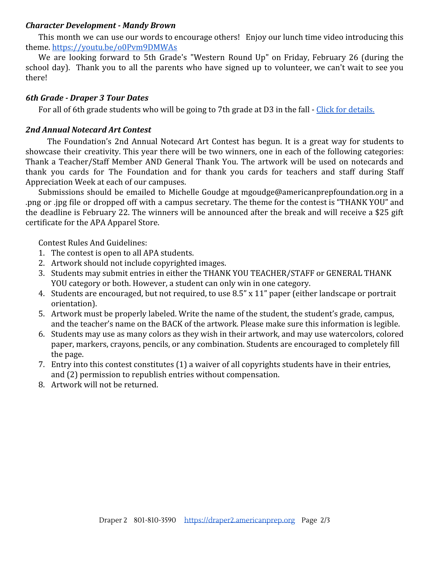#### *Character Development - Mandy Brown*

This month we can use our words to encourage others! Enjoy our lunch time video introducing this theme. <https://youtu.be/o0Pvm9DMWAs>

We are looking forward to 5th Grade's "Western Round Up" on Friday, February 26 (during the school day). Thank you to all the parents who have signed up to volunteer, we can't wait to see you there!

# *6th Grade - Draper 3 Tour Dates*

For all of 6th grade students who will be going to 7th grade at D3 in the fall - [Click for details.](https://draper2.americanprep.org/6th-grade-families-tours-of-draper-3/)

# *2nd Annual Notecard Art Contest*

The Foundation's 2nd Annual Notecard Art Contest has begun. It is a great way for students to showcase their creativity. This year there will be two winners, one in each of the following categories: Thank a Teacher/Staff Member AND General Thank You. The artwork will be used on notecards and thank you cards for The Foundation and for thank you cards for teachers and staff during Staff Appreciation Week at each of our campuses.

Submissions should be emailed to Michelle Goudge at mgoudge@americanprepfoundation.org in a .png or .jpg file or dropped off with a campus secretary. The theme for the contest is "THANK YOU" and the deadline is February 22. The winners will be announced after the break and will receive a \$25 gift certificate for the APA Apparel Store.

Contest Rules And Guidelines:

- 1. The contest is open to all APA students.
- 2. Artwork should not include copyrighted images.
- 3. Students may submit entries in either the THANK YOU TEACHER/STAFF or GENERAL THANK YOU category or both. However, a student can only win in one category.
- 4. Students are encouraged, but not required, to use 8.5" x 11" paper (either landscape or portrait orientation).
- 5. Artwork must be properly labeled. Write the name of the student, the student's grade, campus, and the teacher's name on the BACK of the artwork. Please make sure this information is legible.
- 6. Students may use as many colors as they wish in their artwork, and may use watercolors, colored paper, markers, crayons, pencils, or any combination. Students are encouraged to completely fill the page.
- 7. Entry into this contest constitutes (1) a waiver of all copyrights students have in their entries, and (2) permission to republish entries without compensation.
- 8. Artwork will not be returned.